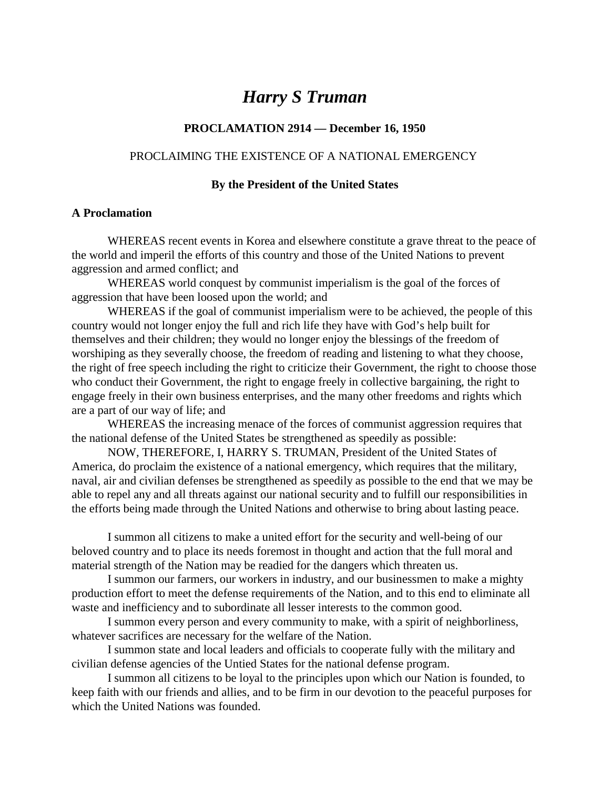# *Harry S Truman*

# **PROCLAMATION 2914 — December 16, 1950**

## PROCLAIMING THE EXISTENCE OF A NATIONAL EMERGENCY

### **By the President of the United States**

### **A Proclamation**

WHEREAS recent events in Korea and elsewhere constitute a grave threat to the peace of the world and imperil the efforts of this country and those of the United Nations to prevent aggression and armed conflict; and

WHEREAS world conquest by communist imperialism is the goal of the forces of aggression that have been loosed upon the world; and

WHEREAS if the goal of communist imperialism were to be achieved, the people of this country would not longer enjoy the full and rich life they have with God's help built for themselves and their children; they would no longer enjoy the blessings of the freedom of worshiping as they severally choose, the freedom of reading and listening to what they choose, the right of free speech including the right to criticize their Government, the right to choose those who conduct their Government, the right to engage freely in collective bargaining, the right to engage freely in their own business enterprises, and the many other freedoms and rights which are a part of our way of life; and

WHEREAS the increasing menace of the forces of communist aggression requires that the national defense of the United States be strengthened as speedily as possible:

NOW, THEREFORE, I, HARRY S. TRUMAN, President of the United States of America, do proclaim the existence of a national emergency, which requires that the military, naval, air and civilian defenses be strengthened as speedily as possible to the end that we may be able to repel any and all threats against our national security and to fulfill our responsibilities in the efforts being made through the United Nations and otherwise to bring about lasting peace.

I summon all citizens to make a united effort for the security and well-being of our beloved country and to place its needs foremost in thought and action that the full moral and material strength of the Nation may be readied for the dangers which threaten us.

I summon our farmers, our workers in industry, and our businessmen to make a mighty production effort to meet the defense requirements of the Nation, and to this end to eliminate all waste and inefficiency and to subordinate all lesser interests to the common good.

I summon every person and every community to make, with a spirit of neighborliness, whatever sacrifices are necessary for the welfare of the Nation.

I summon state and local leaders and officials to cooperate fully with the military and civilian defense agencies of the Untied States for the national defense program.

I summon all citizens to be loyal to the principles upon which our Nation is founded, to keep faith with our friends and allies, and to be firm in our devotion to the peaceful purposes for which the United Nations was founded.